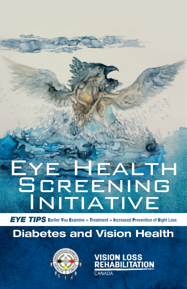# **E-REALTH** SCREENING INITIATIVE

**EYE TIPS** Earlier You Examine = Treatment = Increased Prevention of Sight Loss

## **Diabetes and Vision Health**



VISION LOSS<br>Rehabilitation

ANADA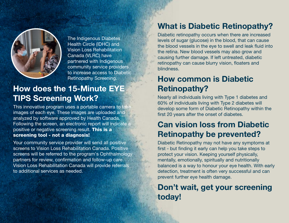

The Indigenous Diabetes Health Circle (IDHC) and Vision Loss Rehabilitation Canada (VLRC) have partnered with Indigenous community service providers to increase access to Diabetic Retinopathy Screening.

# **How does the 15-Minute EYE TIPS Screening Work?**

This innovative program uses a portable camera to take images of each eye. These images are uploaded and analyzed by software approved by Health Canada. Following the screen, an electronic report will indicate a positive or negative screening result. **This is a screening tool - not a diagnosis!**

Your community service provider will send all positive screens to Vision Loss Rehabilitation Canada. Positive screens will be referred to the program's Ophthalmology partners for review, confirmation and follow-up care. Vision Loss Rehabilitation Canada will provide referrals to additional services as needed.

#### **What is Diabetic Retinopathy?**

Diabetic retinopathy occurs when there are increased levels of sugar (glucose) in the blood, that can cause the blood vessels in the eye to swell and leak fluid into the retina. New blood vessels may also grow and causing further damage. If left untreated, diabetic retinopathy can cause blurry vision, floaters and blindness.

# **How common is Diabetic Retinopathy?**

Nearly all individuals living with Type 1 diabetes and 60% of individuals living with Type 2 diabetes will develop some form of Diabetic Retinopathy within the first 20 years after the onset of diabetes.

## **Can vision loss from Diabetic Retinopathy be prevented?**

Diabetic Retinopathy may not have any symptoms at first - but finding it early can help you take steps to protect your vision. Keeping yourself physically, mentally, emotionally, spiritually and nutritionally balanced is a way to honour your eye health. With early detection, treatment is often very successful and can prevent further eye health damage.

#### **Don't wait, get your screening today!**